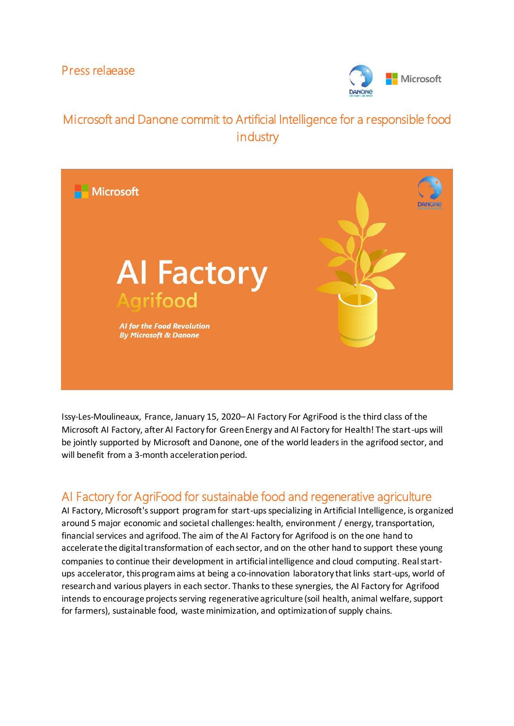Press relaease



# Microsoft and Danone commit to Artificial Intelligence for a responsible food **industry**



Issy-Les-Moulineaux, France, January 15, 2020– AI Factory For AgriFood is the third class of the Microsoft AI Factory, after AI Factory for Green Energy and AI Factory for Health! The start-ups will be jointly supported by Microsoft and Danone, one of the world leaders in the agrifood sector, and will benefit from a 3-month acceleration period.

## AI Factory for AgriFood for sustainable food and regenerative agriculture

AI Factory, Microsoft's support program for start-ups specializing in Artificial Intelligence, is organized around 5 major economic and societal challenges: health, environment / energy, transportation, financial services and agrifood. The aim of the AI Factory for Agrifood is on the one hand to accelerate the digital transformation of each sector, and on the other hand to support these young companies to continue their development in artificial intelligence and cloud computing. Realstartups accelerator, this program aims at being a co-innovation laboratory that links start-ups, world of research and various players in each sector. Thanks to these synergies, the AI Factory for Agrifood intends to encourage projects serving regenerative agriculture (soil health, animal welfare, support for farmers), sustainable food, waste minimization, and optimization of supply chains.